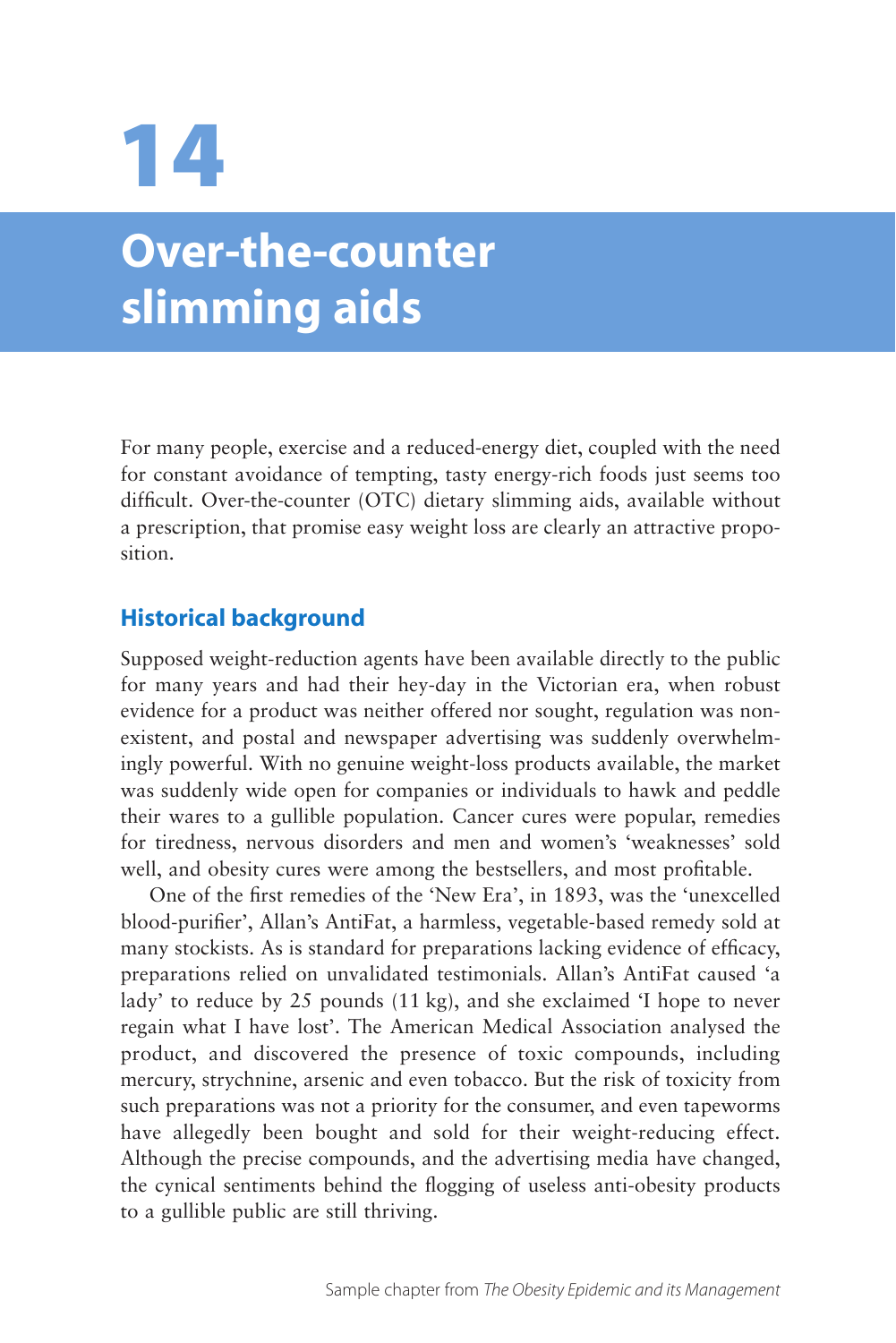# **14**

# **Over-the-counter slimming aids**

For many people, exercise and a reduced-energy diet, coupled with the need for constant avoidance of tempting, tasty energy-rich foods just seems too difficult. Over-the-counter (OTC) dietary slimming aids, available without a prescription, that promise easy weight loss are clearly an attractive proposition.

# **Historical background**

Supposed weight-reduction agents have been available directly to the public for many years and had their hey-day in the Victorian era, when robust evidence for a product was neither offered nor sought, regulation was nonexistent, and postal and newspaper advertising was suddenly overwhelmingly powerful. With no genuine weight-loss products available, the market was suddenly wide open for companies or individuals to hawk and peddle their wares to a gullible population. Cancer cures were popular, remedies for tiredness, nervous disorders and men and women's 'weaknesses' sold well, and obesity cures were among the bestsellers, and most profitable.

One of the first remedies of the 'New Era', in 1893, was the 'unexcelled blood-purifier', Allan's AntiFat, a harmless, vegetable-based remedy sold at many stockists. As is standard for preparations lacking evidence of efficacy, preparations relied on unvalidated testimonials. Allan's AntiFat caused 'a lady' to reduce by 25 pounds (11 kg), and she exclaimed 'I hope to never regain what I have lost'. The American Medical Association analysed the product, and discovered the presence of toxic compounds, including mercury, strychnine, arsenic and even tobacco. But the risk of toxicity from such preparations was not a priority for the consumer, and even tapeworms have allegedly been bought and sold for their weight-reducing effect. Although the precise compounds, and the advertising media have changed, the cynical sentiments behind the flogging of useless anti-obesity products to a gullible public are still thriving.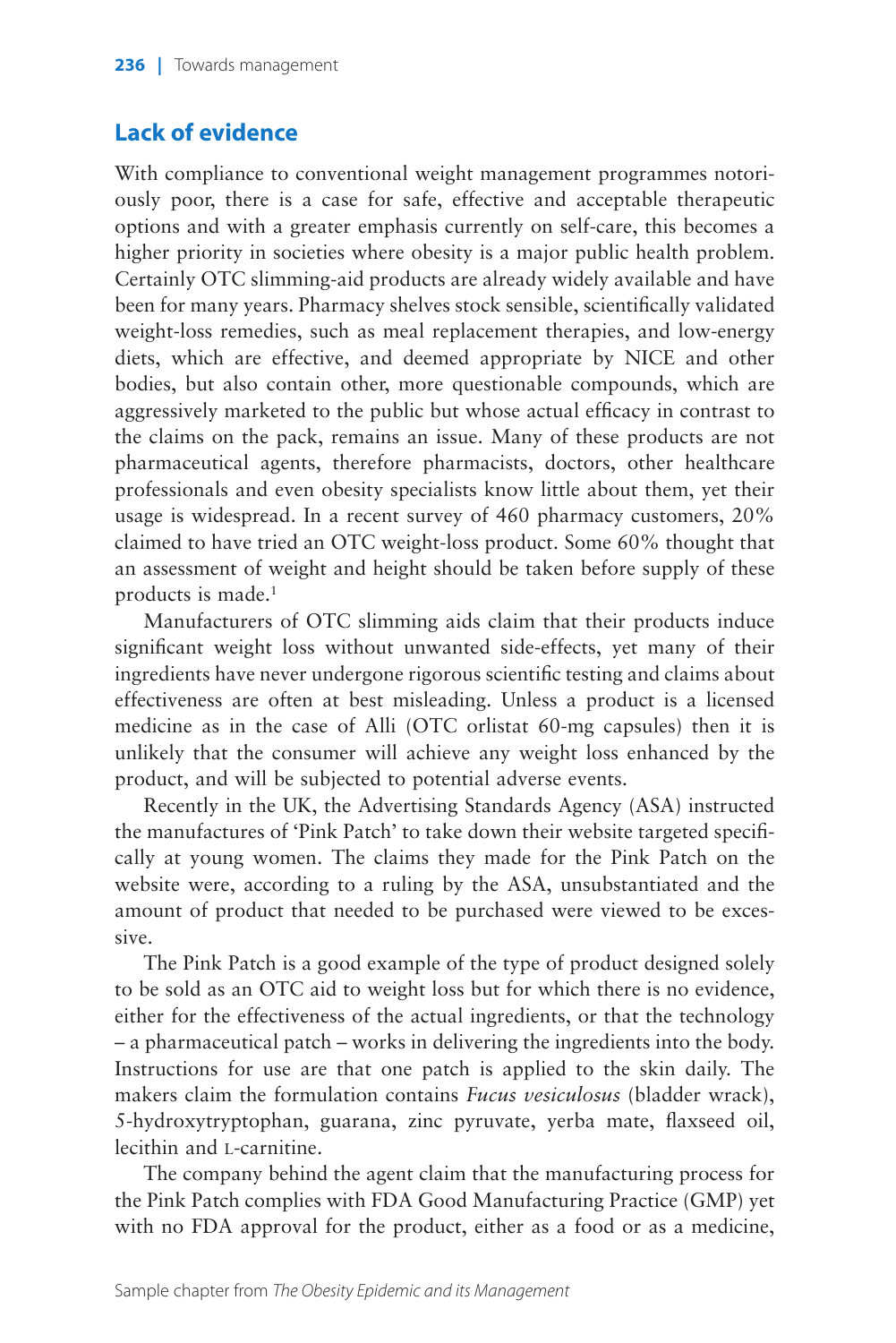# **Lack of evidence**

With compliance to conventional weight management programmes notoriously poor, there is a case for safe, effective and acceptable therapeutic options and with a greater emphasis currently on self-care, this becomes a higher priority in societies where obesity is a major public health problem. Certainly OTC slimming-aid products are already widely available and have been for many years. Pharmacy shelves stock sensible, scientifically validated weight-loss remedies, such as meal replacement therapies, and low-energy diets, which are effective, and deemed appropriate by NICE and other bodies, but also contain other, more questionable compounds, which are aggressively marketed to the public but whose actual efficacy in contrast to the claims on the pack, remains an issue. Many of these products are not pharmaceutical agents, therefore pharmacists, doctors, other healthcare professionals and even obesity specialists know little about them, yet their usage is widespread. In a recent survey of 460 pharmacy customers, 20% claimed to have tried an OTC weight-loss product. Some 60% thought that an assessment of weight and height should be taken before supply of these products is made.1

Manufacturers of OTC slimming aids claim that their products induce significant weight loss without unwanted side-effects, yet many of their ingredients have never undergone rigorous scientific testing and claims about effectiveness are often at best misleading. Unless a product is a licensed medicine as in the case of Alli (OTC orlistat 60-mg capsules) then it is unlikely that the consumer will achieve any weight loss enhanced by the product, and will be subjected to potential adverse events.

Recently in the UK, the Advertising Standards Agency (ASA) instructed the manufactures of 'Pink Patch' to take down their website targeted specifically at young women. The claims they made for the Pink Patch on the website were, according to a ruling by the ASA, unsubstantiated and the amount of product that needed to be purchased were viewed to be excessive.

The Pink Patch is a good example of the type of product designed solely to be sold as an OTC aid to weight loss but for which there is no evidence, either for the effectiveness of the actual ingredients, or that the technology – a pharmaceutical patch – works in delivering the ingredients into the body. Instructions for use are that one patch is applied to the skin daily. The makers claim the formulation contains *Fucus vesiculosus* (bladder wrack), 5-hydroxytryptophan, guarana, zinc pyruvate, yerba mate, flaxseed oil, lecithin and L-carnitine.

The company behind the agent claim that the manufacturing process for the Pink Patch complies with FDA Good Manufacturing Practice (GMP) yet with no FDA approval for the product, either as a food or as a medicine,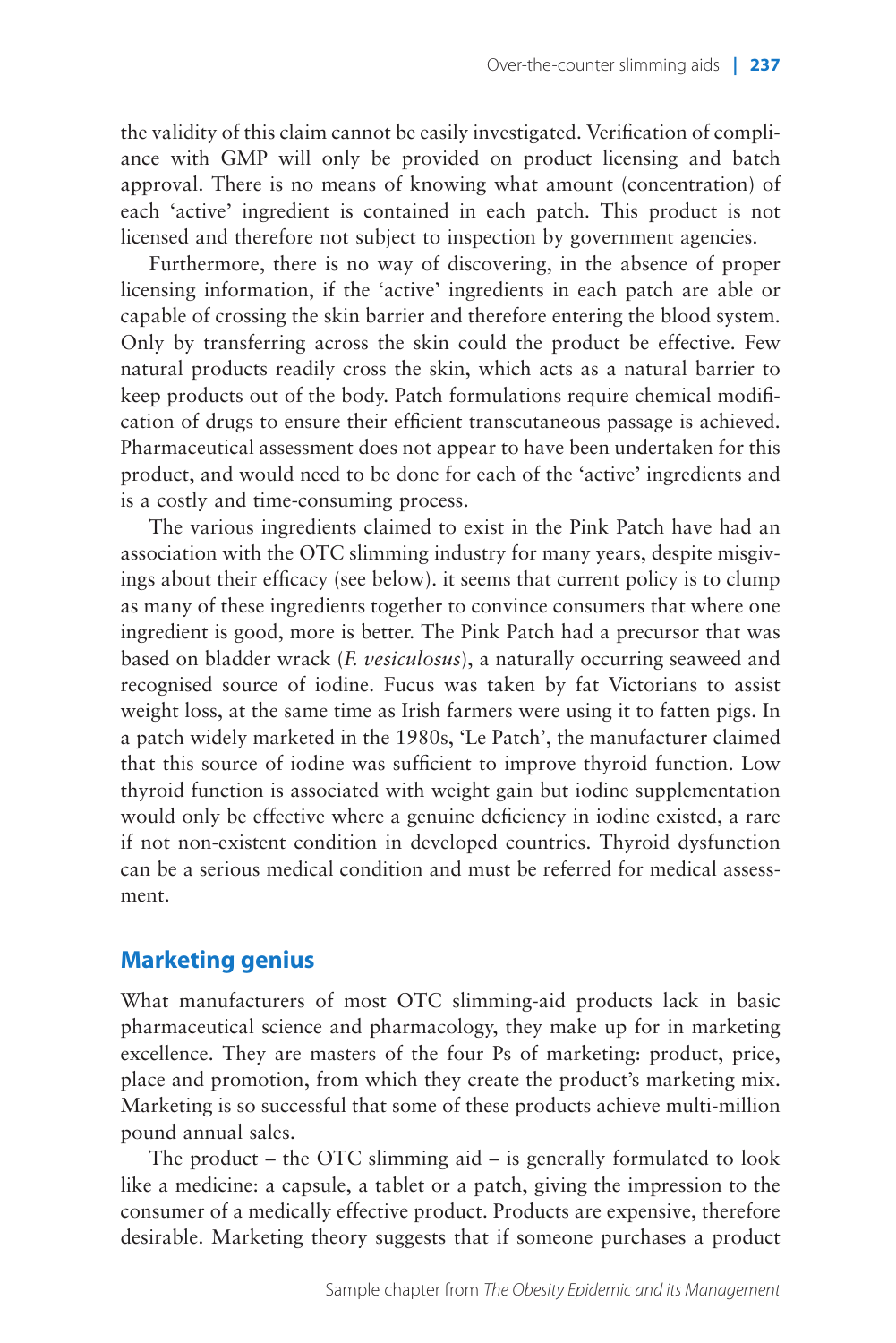the validity of this claim cannot be easily investigated. Verification of compliance with GMP will only be provided on product licensing and batch approval. There is no means of knowing what amount (concentration) of each 'active' ingredient is contained in each patch. This product is not licensed and therefore not subject to inspection by government agencies.

Furthermore, there is no way of discovering, in the absence of proper licensing information, if the 'active' ingredients in each patch are able or capable of crossing the skin barrier and therefore entering the blood system. Only by transferring across the skin could the product be effective. Few natural products readily cross the skin, which acts as a natural barrier to keep products out of the body. Patch formulations require chemical modification of drugs to ensure their efficient transcutaneous passage is achieved. Pharmaceutical assessment does not appear to have been undertaken for this product, and would need to be done for each of the 'active' ingredients and is a costly and time-consuming process.

The various ingredients claimed to exist in the Pink Patch have had an association with the OTC slimming industry for many years, despite misgivings about their efficacy (see below). it seems that current policy is to clump as many of these ingredients together to convince consumers that where one ingredient is good, more is better. The Pink Patch had a precursor that was based on bladder wrack (*F. vesiculosus*), a naturally occurring seaweed and recognised source of iodine. Fucus was taken by fat Victorians to assist weight loss, at the same time as Irish farmers were using it to fatten pigs. In a patch widely marketed in the 1980s, 'Le Patch', the manufacturer claimed that this source of iodine was sufficient to improve thyroid function. Low thyroid function is associated with weight gain but iodine supplementation would only be effective where a genuine deficiency in iodine existed, a rare if not non-existent condition in developed countries. Thyroid dysfunction can be a serious medical condition and must be referred for medical assessment.

# **Marketing genius**

What manufacturers of most OTC slimming-aid products lack in basic pharmaceutical science and pharmacology, they make up for in marketing excellence. They are masters of the four Ps of marketing: product, price, place and promotion, from which they create the product's marketing mix. Marketing is so successful that some of these products achieve multi-million pound annual sales.

The product – the OTC slimming aid – is generally formulated to look like a medicine: a capsule, a tablet or a patch, giving the impression to the consumer of a medically effective product. Products are expensive, therefore desirable. Marketing theory suggests that if someone purchases a product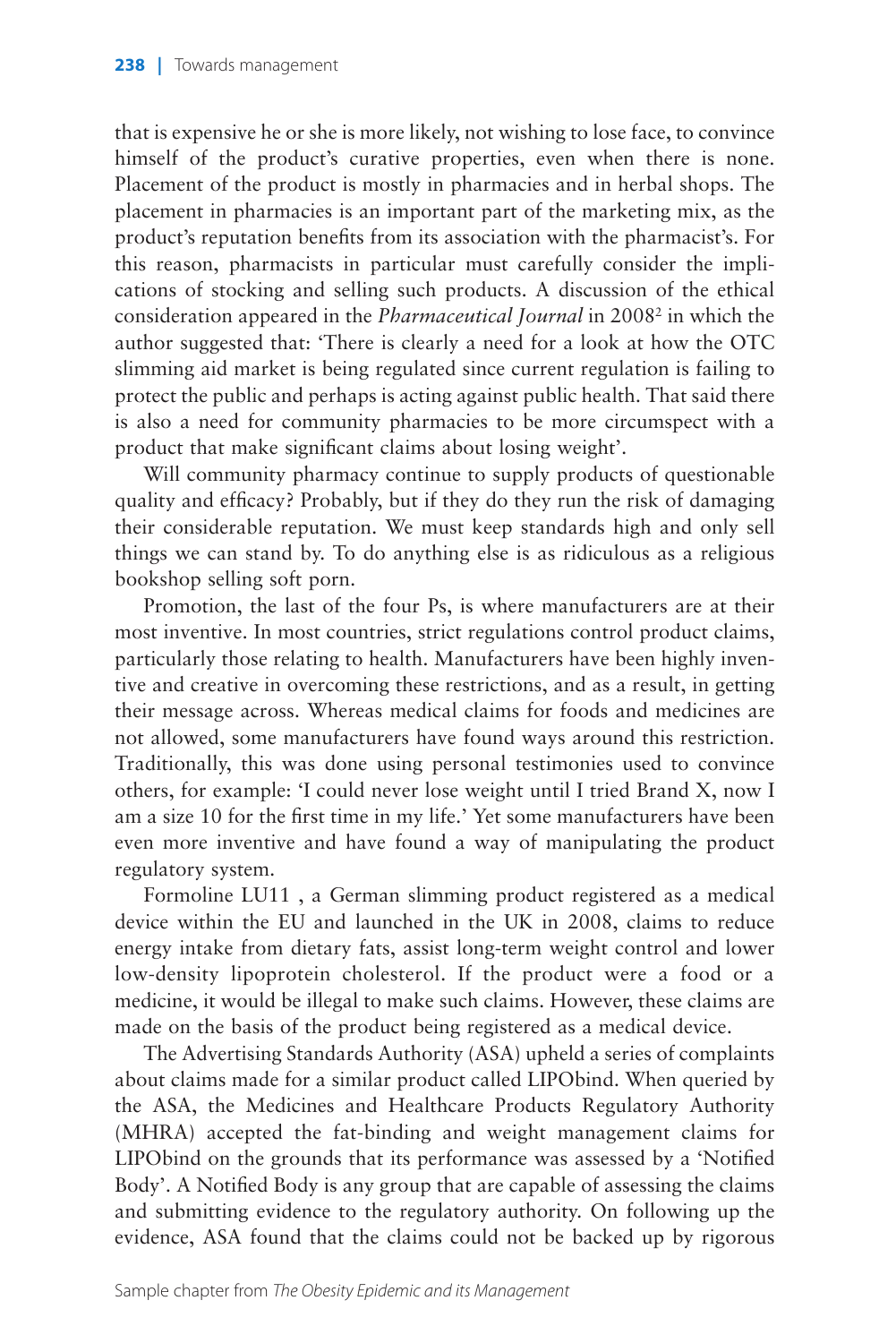that is expensive he or she is more likely, not wishing to lose face, to convince himself of the product's curative properties, even when there is none. Placement of the product is mostly in pharmacies and in herbal shops. The placement in pharmacies is an important part of the marketing mix, as the product's reputation benefits from its association with the pharmacist's. For this reason, pharmacists in particular must carefully consider the implications of stocking and selling such products. A discussion of the ethical consideration appeared in the *Pharmaceutical Journal* in 20082 in which the author suggested that: 'There is clearly a need for a look at how the OTC slimming aid market is being regulated since current regulation is failing to protect the public and perhaps is acting against public health. That said there is also a need for community pharmacies to be more circumspect with a product that make significant claims about losing weight'.

Will community pharmacy continue to supply products of questionable quality and efficacy? Probably, but if they do they run the risk of damaging their considerable reputation. We must keep standards high and only sell things we can stand by. To do anything else is as ridiculous as a religious bookshop selling soft porn.

Promotion, the last of the four Ps, is where manufacturers are at their most inventive. In most countries, strict regulations control product claims, particularly those relating to health. Manufacturers have been highly inventive and creative in overcoming these restrictions, and as a result, in getting their message across. Whereas medical claims for foods and medicines are not allowed, some manufacturers have found ways around this restriction. Traditionally, this was done using personal testimonies used to convince others, for example: 'I could never lose weight until I tried Brand X, now I am a size 10 for the first time in my life.' Yet some manufacturers have been even more inventive and have found a way of manipulating the product regulatory system.

Formoline LU11 , a German slimming product registered as a medical device within the EU and launched in the UK in 2008, claims to reduce energy intake from dietary fats, assist long-term weight control and lower low-density lipoprotein cholesterol. If the product were a food or a medicine, it would be illegal to make such claims. However, these claims are made on the basis of the product being registered as a medical device.

The Advertising Standards Authority (ASA) upheld a series of complaints about claims made for a similar product called LIPObind. When queried by the ASA, the Medicines and Healthcare Products Regulatory Authority (MHRA) accepted the fat-binding and weight management claims for LIPObind on the grounds that its performance was assessed by a 'Notified Body'. A Notified Body is any group that are capable of assessing the claims and submitting evidence to the regulatory authority. On following up the evidence, ASA found that the claims could not be backed up by rigorous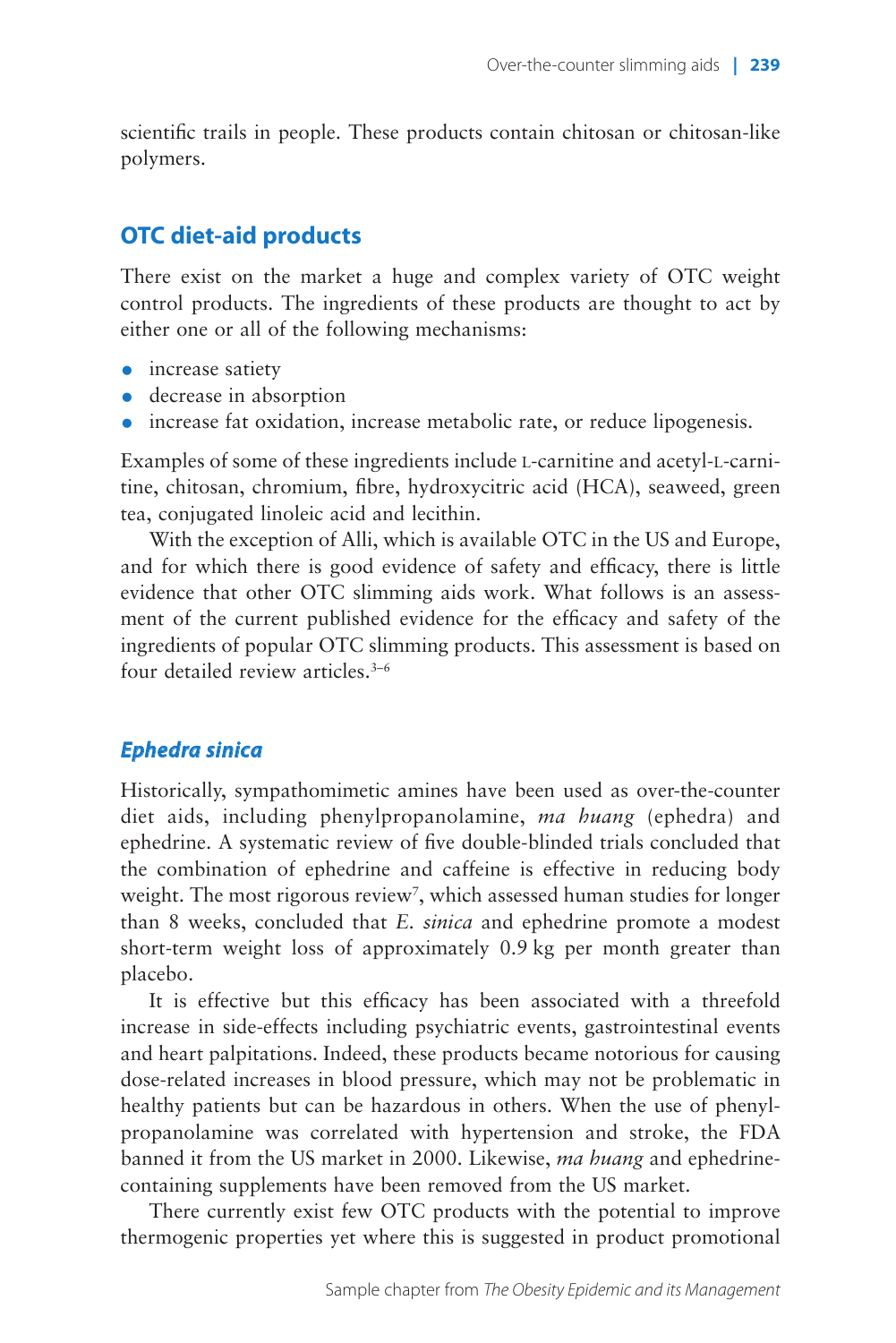scientific trails in people. These products contain chitosan or chitosan-like polymers.

# **OTC diet-aid products**

There exist on the market a huge and complex variety of OTC weight control products. The ingredients of these products are thought to act by either one or all of the following mechanisms:

- increase satiety
- decrease in absorption
- increase fat oxidation, increase metabolic rate, or reduce lipogenesis.

Examples of some of these ingredients include L-carnitine and acetyl-L-carnitine, chitosan, chromium, fibre, hydroxycitric acid (HCA), seaweed, green tea, conjugated linoleic acid and lecithin.

With the exception of Alli, which is available OTC in the US and Europe, and for which there is good evidence of safety and efficacy, there is little evidence that other OTC slimming aids work. What follows is an assessment of the current published evidence for the efficacy and safety of the ingredients of popular OTC slimming products. This assessment is based on four detailed review articles.<sup>3-6</sup>

# **Ephedra sinica**

Historically, sympathomimetic amines have been used as over-the-counter diet aids, including phenylpropanolamine, *ma huang* (ephedra) and ephedrine. A systematic review of five double-blinded trials concluded that the combination of ephedrine and caffeine is effective in reducing body weight. The most rigorous review<sup>7</sup>, which assessed human studies for longer than 8 weeks, concluded that *E. sinica* and ephedrine promote a modest short-term weight loss of approximately 0.9 kg per month greater than placebo.

It is effective but this efficacy has been associated with a threefold increase in side-effects including psychiatric events, gastrointestinal events and heart palpitations. Indeed, these products became notorious for causing dose-related increases in blood pressure, which may not be problematic in healthy patients but can be hazardous in others. When the use of phenylpropanolamine was correlated with hypertension and stroke, the FDA banned it from the US market in 2000. Likewise, *ma huang* and ephedrinecontaining supplements have been removed from the US market.

There currently exist few OTC products with the potential to improve thermogenic properties yet where this is suggested in product promotional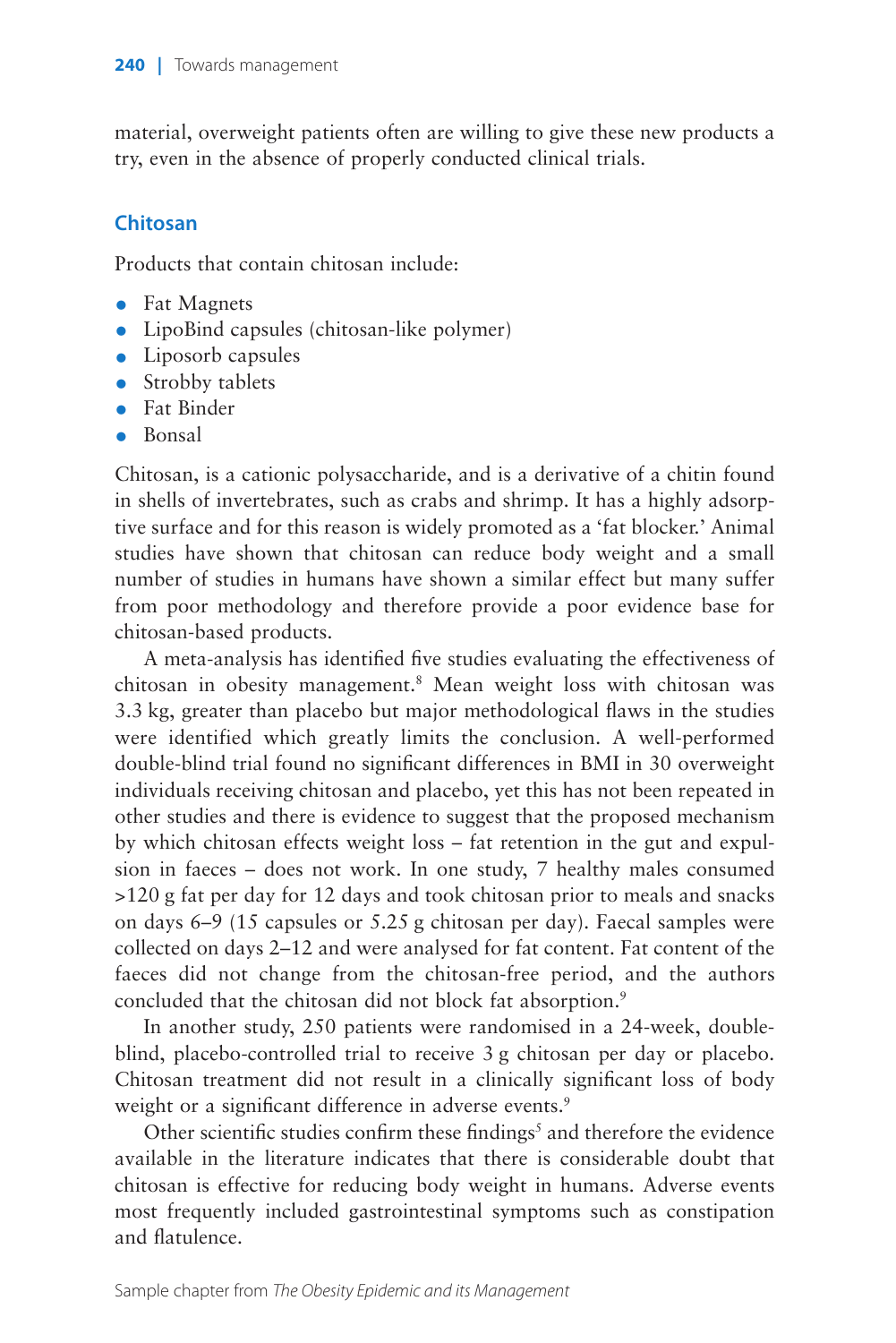material, overweight patients often are willing to give these new products a try, even in the absence of properly conducted clinical trials.

# **Chitosan**

Products that contain chitosan include:

- Fat Magnets
- LipoBind capsules (chitosan-like polymer)
- Liposorb capsules
- Strobby tablets
- Fat Binder
- Bonsal

Chitosan, is a cationic polysaccharide, and is a derivative of a chitin found in shells of invertebrates, such as crabs and shrimp. It has a highly adsorptive surface and for this reason is widely promoted as a 'fat blocker.' Animal studies have shown that chitosan can reduce body weight and a small number of studies in humans have shown a similar effect but many suffer from poor methodology and therefore provide a poor evidence base for chitosan-based products.

A meta-analysis has identified five studies evaluating the effectiveness of chitosan in obesity management.<sup>8</sup> Mean weight loss with chitosan was 3.3 kg, greater than placebo but major methodological flaws in the studies were identified which greatly limits the conclusion. A well-performed double-blind trial found no significant differences in BMI in 30 overweight individuals receiving chitosan and placebo, yet this has not been repeated in other studies and there is evidence to suggest that the proposed mechanism by which chitosan effects weight loss – fat retention in the gut and expulsion in faeces – does not work. In one study, 7 healthy males consumed >120 g fat per day for 12 days and took chitosan prior to meals and snacks on days 6–9 (15 capsules or 5.25 g chitosan per day). Faecal samples were collected on days 2–12 and were analysed for fat content. Fat content of the faeces did not change from the chitosan-free period, and the authors concluded that the chitosan did not block fat absorption.<sup>9</sup>

In another study, 250 patients were randomised in a 24-week, doubleblind, placebo-controlled trial to receive 3 g chitosan per day or placebo. Chitosan treatment did not result in a clinically significant loss of body weight or a significant difference in adverse events.<sup>9</sup>

Other scientific studies confirm these findings<sup>5</sup> and therefore the evidence available in the literature indicates that there is considerable doubt that chitosan is effective for reducing body weight in humans. Adverse events most frequently included gastrointestinal symptoms such as constipation and flatulence.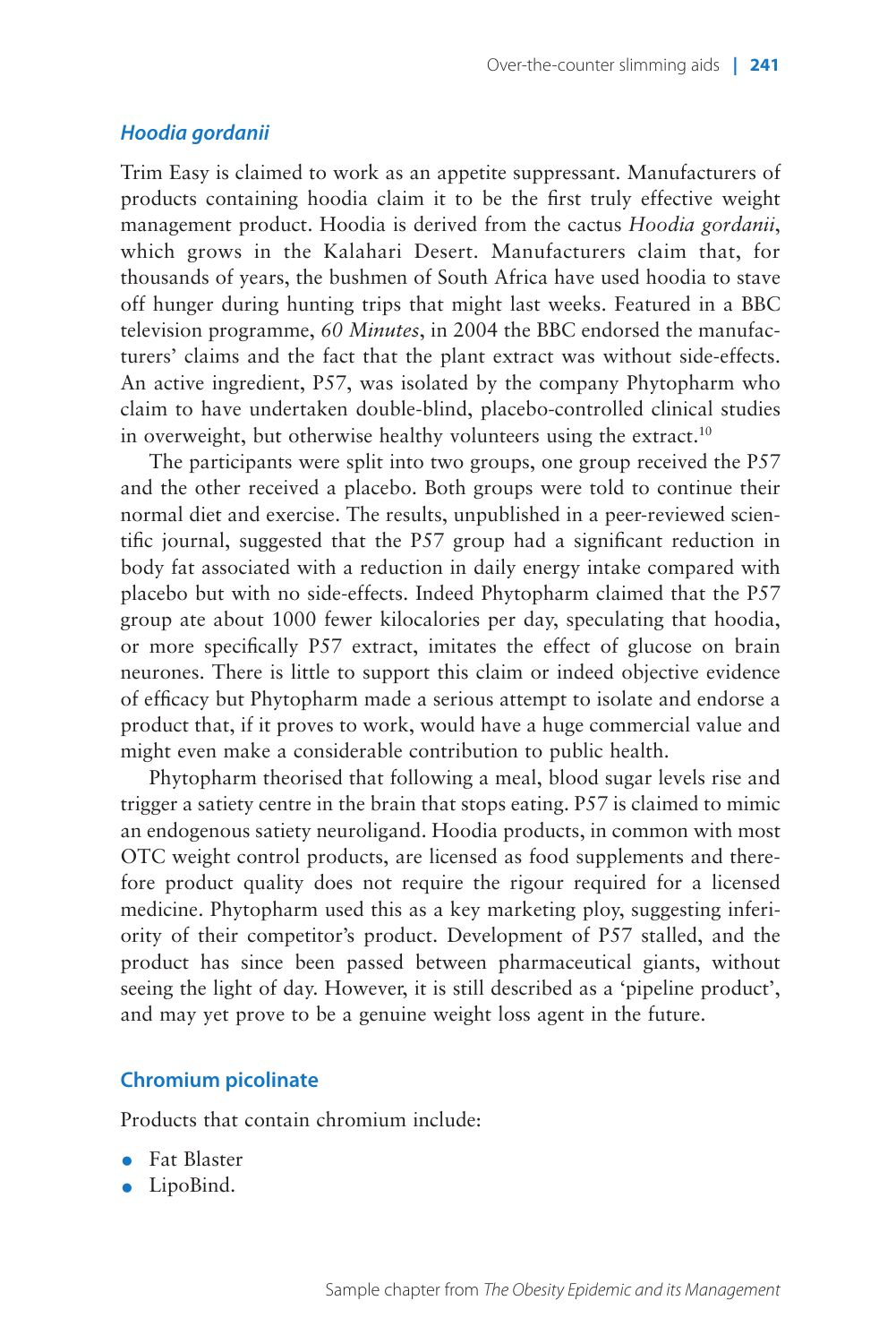#### **Hoodia gordanii**

Trim Easy is claimed to work as an appetite suppressant. Manufacturers of products containing hoodia claim it to be the first truly effective weight management product. Hoodia is derived from the cactus *Hoodia gordanii*, which grows in the Kalahari Desert. Manufacturers claim that, for thousands of years, the bushmen of South Africa have used hoodia to stave off hunger during hunting trips that might last weeks. Featured in a BBC television programme, *60 Minutes*, in 2004 the BBC endorsed the manufacturers' claims and the fact that the plant extract was without side-effects. An active ingredient, P57, was isolated by the company Phytopharm who claim to have undertaken double-blind, placebo-controlled clinical studies in overweight, but otherwise healthy volunteers using the extract.<sup>10</sup>

The participants were split into two groups, one group received the P57 and the other received a placebo. Both groups were told to continue their normal diet and exercise. The results, unpublished in a peer-reviewed scientific journal, suggested that the P57 group had a significant reduction in body fat associated with a reduction in daily energy intake compared with placebo but with no side-effects. Indeed Phytopharm claimed that the P57 group ate about 1000 fewer kilocalories per day, speculating that hoodia, or more specifically P57 extract, imitates the effect of glucose on brain neurones. There is little to support this claim or indeed objective evidence of efficacy but Phytopharm made a serious attempt to isolate and endorse a product that, if it proves to work, would have a huge commercial value and might even make a considerable contribution to public health.

Phytopharm theorised that following a meal, blood sugar levels rise and trigger a satiety centre in the brain that stops eating. P57 is claimed to mimic an endogenous satiety neuroligand. Hoodia products, in common with most OTC weight control products, are licensed as food supplements and therefore product quality does not require the rigour required for a licensed medicine. Phytopharm used this as a key marketing ploy, suggesting inferiority of their competitor's product. Development of P57 stalled, and the product has since been passed between pharmaceutical giants, without seeing the light of day. However, it is still described as a 'pipeline product', and may yet prove to be a genuine weight loss agent in the future.

#### **Chromium picolinate**

Products that contain chromium include:

- Fat Blaster
- LipoBind.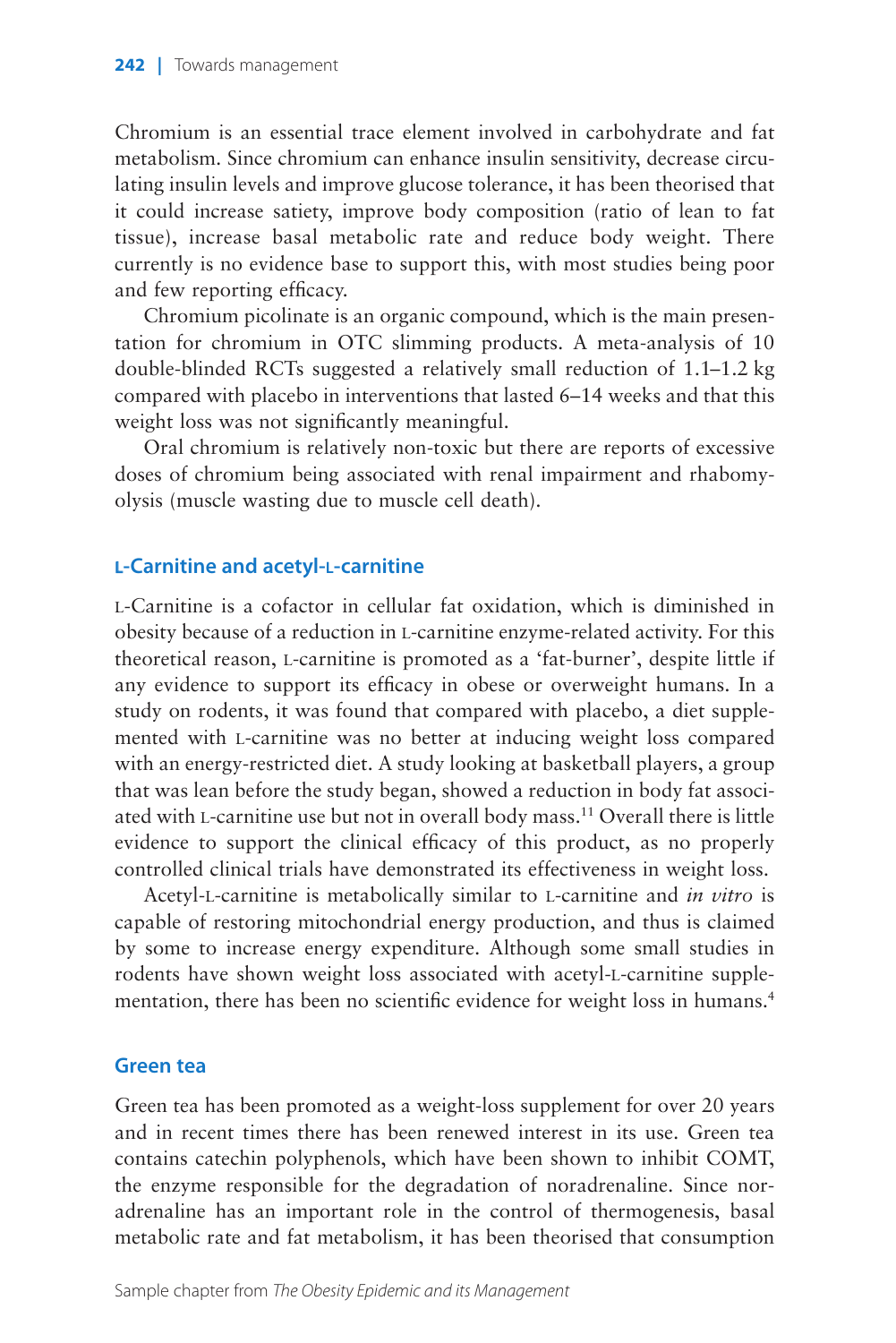Chromium is an essential trace element involved in carbohydrate and fat metabolism. Since chromium can enhance insulin sensitivity, decrease circulating insulin levels and improve glucose tolerance, it has been theorised that it could increase satiety, improve body composition (ratio of lean to fat tissue), increase basal metabolic rate and reduce body weight. There currently is no evidence base to support this, with most studies being poor and few reporting efficacy.

Chromium picolinate is an organic compound, which is the main presentation for chromium in OTC slimming products. A meta-analysis of 10 double-blinded RCTs suggested a relatively small reduction of 1.1–1.2 kg compared with placebo in interventions that lasted 6–14 weeks and that this weight loss was not significantly meaningful.

Oral chromium is relatively non-toxic but there are reports of excessive doses of chromium being associated with renal impairment and rhabomyolysis (muscle wasting due to muscle cell death).

#### **L-Carnitine and acetyl-L-carnitine**

L-Carnitine is a cofactor in cellular fat oxidation, which is diminished in obesity because of a reduction in L-carnitine enzyme-related activity. For this theoretical reason, L-carnitine is promoted as a 'fat-burner', despite little if any evidence to support its efficacy in obese or overweight humans. In a study on rodents, it was found that compared with placebo, a diet supplemented with L-carnitine was no better at inducing weight loss compared with an energy-restricted diet. A study looking at basketball players, a group that was lean before the study began, showed a reduction in body fat associated with L-carnitine use but not in overall body mass.11 Overall there is little evidence to support the clinical efficacy of this product, as no properly controlled clinical trials have demonstrated its effectiveness in weight loss.

Acetyl-L-carnitine is metabolically similar to L-carnitine and *in vitro* is capable of restoring mitochondrial energy production, and thus is claimed by some to increase energy expenditure. Although some small studies in rodents have shown weight loss associated with acetyl-L-carnitine supplementation, there has been no scientific evidence for weight loss in humans.<sup>4</sup>

#### **Green tea**

Green tea has been promoted as a weight-loss supplement for over 20 years and in recent times there has been renewed interest in its use. Green tea contains catechin polyphenols, which have been shown to inhibit COMT, the enzyme responsible for the degradation of noradrenaline. Since noradrenaline has an important role in the control of thermogenesis, basal metabolic rate and fat metabolism, it has been theorised that consumption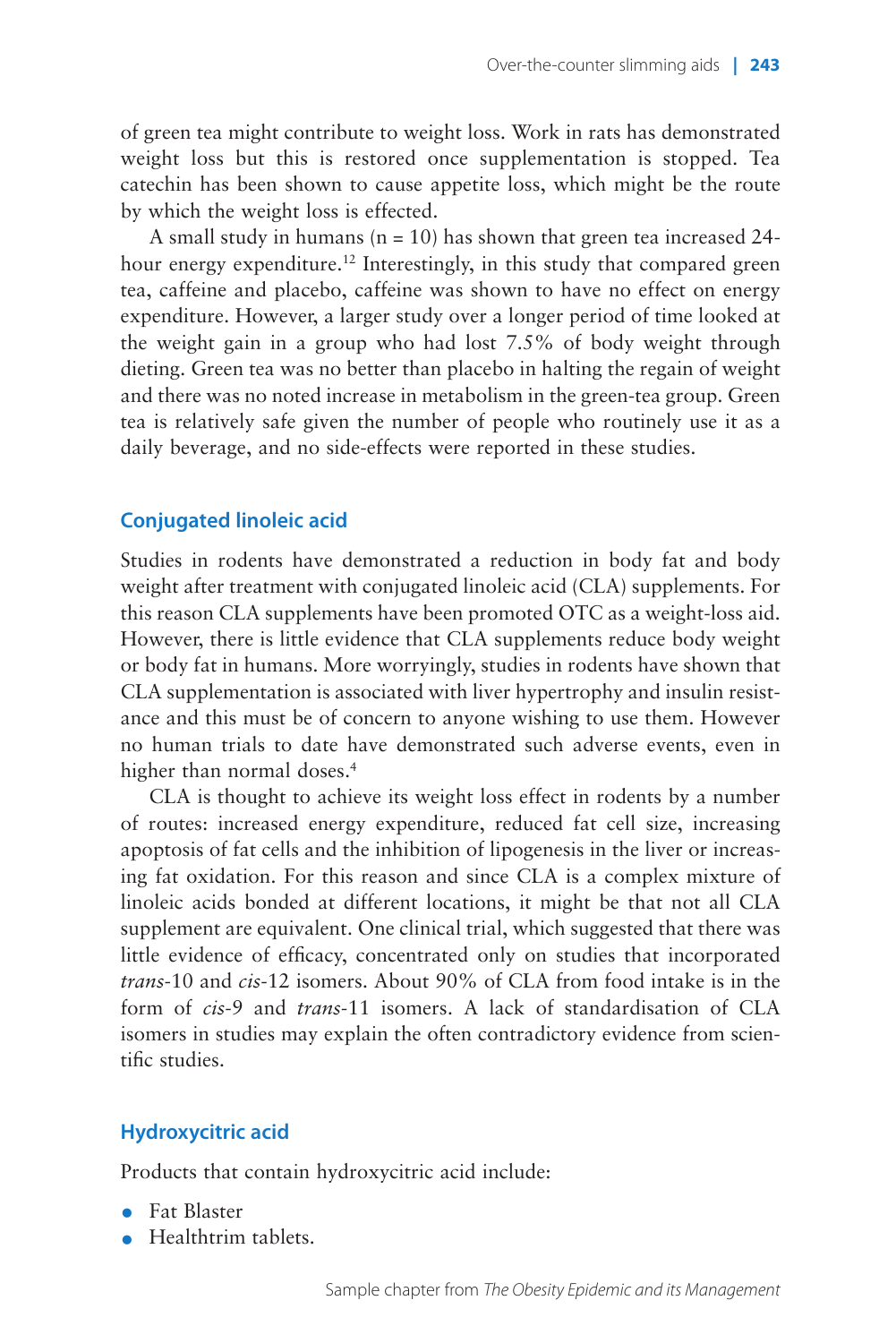of green tea might contribute to weight loss. Work in rats has demonstrated weight loss but this is restored once supplementation is stopped. Tea catechin has been shown to cause appetite loss, which might be the route by which the weight loss is effected.

A small study in humans ( $n = 10$ ) has shown that green tea increased 24hour energy expenditure.<sup>12</sup> Interestingly, in this study that compared green tea, caffeine and placebo, caffeine was shown to have no effect on energy expenditure. However, a larger study over a longer period of time looked at the weight gain in a group who had lost 7.5% of body weight through dieting. Green tea was no better than placebo in halting the regain of weight and there was no noted increase in metabolism in the green-tea group. Green tea is relatively safe given the number of people who routinely use it as a daily beverage, and no side-effects were reported in these studies.

### **Conjugated linoleic acid**

Studies in rodents have demonstrated a reduction in body fat and body weight after treatment with conjugated linoleic acid (CLA) supplements. For this reason CLA supplements have been promoted OTC as a weight-loss aid. However, there is little evidence that CLA supplements reduce body weight or body fat in humans. More worryingly, studies in rodents have shown that CLA supplementation is associated with liver hypertrophy and insulin resistance and this must be of concern to anyone wishing to use them. However no human trials to date have demonstrated such adverse events, even in higher than normal doses.<sup>4</sup>

CLA is thought to achieve its weight loss effect in rodents by a number of routes: increased energy expenditure, reduced fat cell size, increasing apoptosis of fat cells and the inhibition of lipogenesis in the liver or increasing fat oxidation. For this reason and since CLA is a complex mixture of linoleic acids bonded at different locations, it might be that not all CLA supplement are equivalent. One clinical trial, which suggested that there was little evidence of efficacy, concentrated only on studies that incorporated *trans*-10 and *cis*-12 isomers. About 90% of CLA from food intake is in the form of *cis*-9 and *trans*-11 isomers. A lack of standardisation of CLA isomers in studies may explain the often contradictory evidence from scientific studies.

#### **Hydroxycitric acid**

Products that contain hydroxycitric acid include:

- Fat Blaster
- Healthtrim tablets.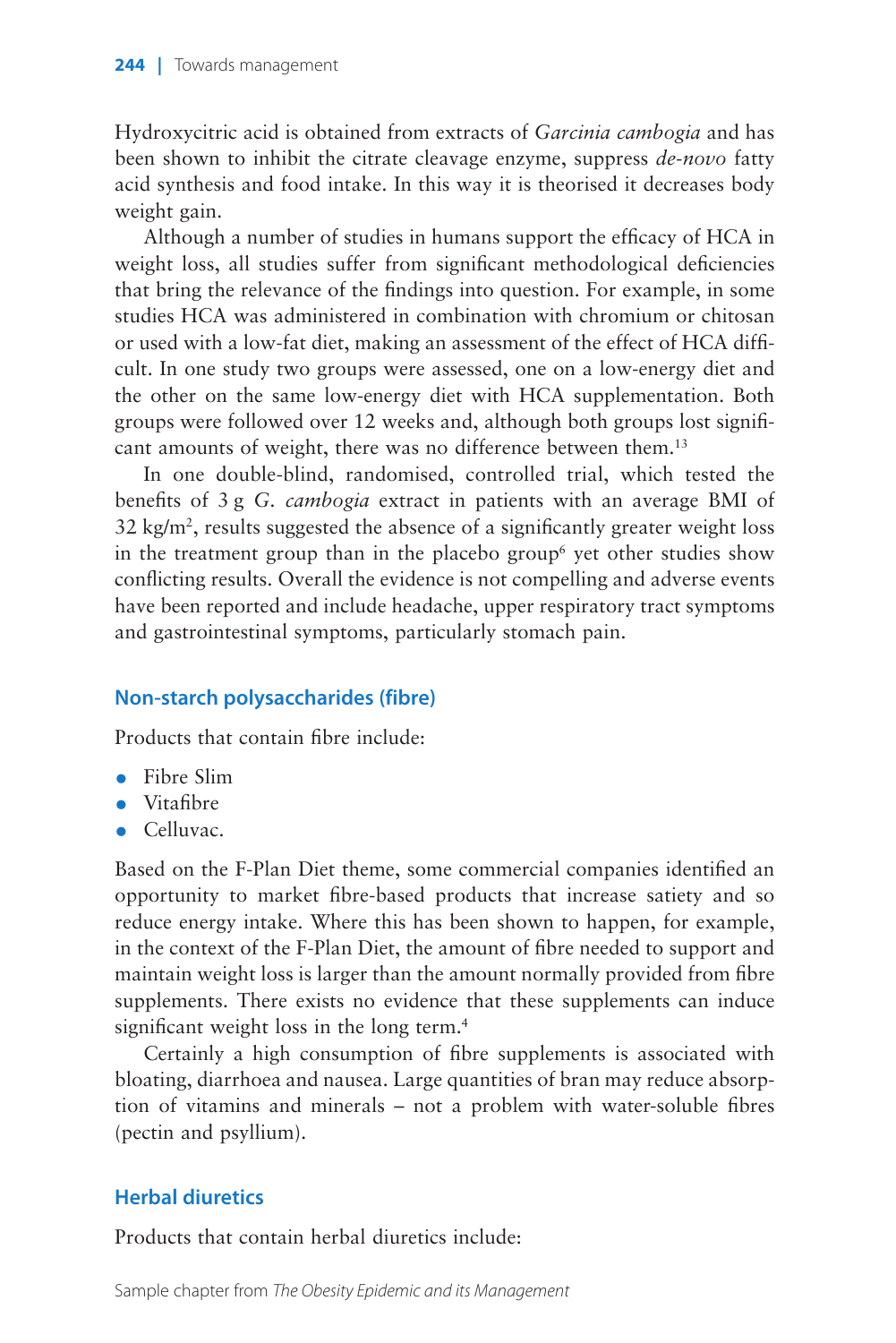Hydroxycitric acid is obtained from extracts of *Garcinia cambogia* and has been shown to inhibit the citrate cleavage enzyme, suppress *de-novo* fatty acid synthesis and food intake. In this way it is theorised it decreases body weight gain.

Although a number of studies in humans support the efficacy of HCA in weight loss, all studies suffer from significant methodological deficiencies that bring the relevance of the findings into question. For example, in some studies HCA was administered in combination with chromium or chitosan or used with a low-fat diet, making an assessment of the effect of HCA difficult. In one study two groups were assessed, one on a low-energy diet and the other on the same low-energy diet with HCA supplementation. Both groups were followed over 12 weeks and, although both groups lost significant amounts of weight, there was no difference between them.<sup>13</sup>

In one double-blind, randomised, controlled trial, which tested the benefits of 3 g *G. cambogia* extract in patients with an average BMI of  $32 \text{ kg/m}^2$ , results suggested the absence of a significantly greater weight loss in the treatment group than in the placebo group<sup> $6$ </sup> yet other studies show conflicting results. Overall the evidence is not compelling and adverse events have been reported and include headache, upper respiratory tract symptoms and gastrointestinal symptoms, particularly stomach pain.

# **Non-starch polysaccharides (fibre)**

Products that contain fibre include:

- Fibre Slim
- Vitafibre
- Celluvac.

Based on the F-Plan Diet theme, some commercial companies identified an opportunity to market fibre-based products that increase satiety and so reduce energy intake. Where this has been shown to happen, for example, in the context of the F-Plan Diet, the amount of fibre needed to support and maintain weight loss is larger than the amount normally provided from fibre supplements. There exists no evidence that these supplements can induce significant weight loss in the long term.<sup>4</sup>

Certainly a high consumption of fibre supplements is associated with bloating, diarrhoea and nausea. Large quantities of bran may reduce absorption of vitamins and minerals – not a problem with water-soluble fibres (pectin and psyllium).

# **Herbal diuretics**

Products that contain herbal diuretics include: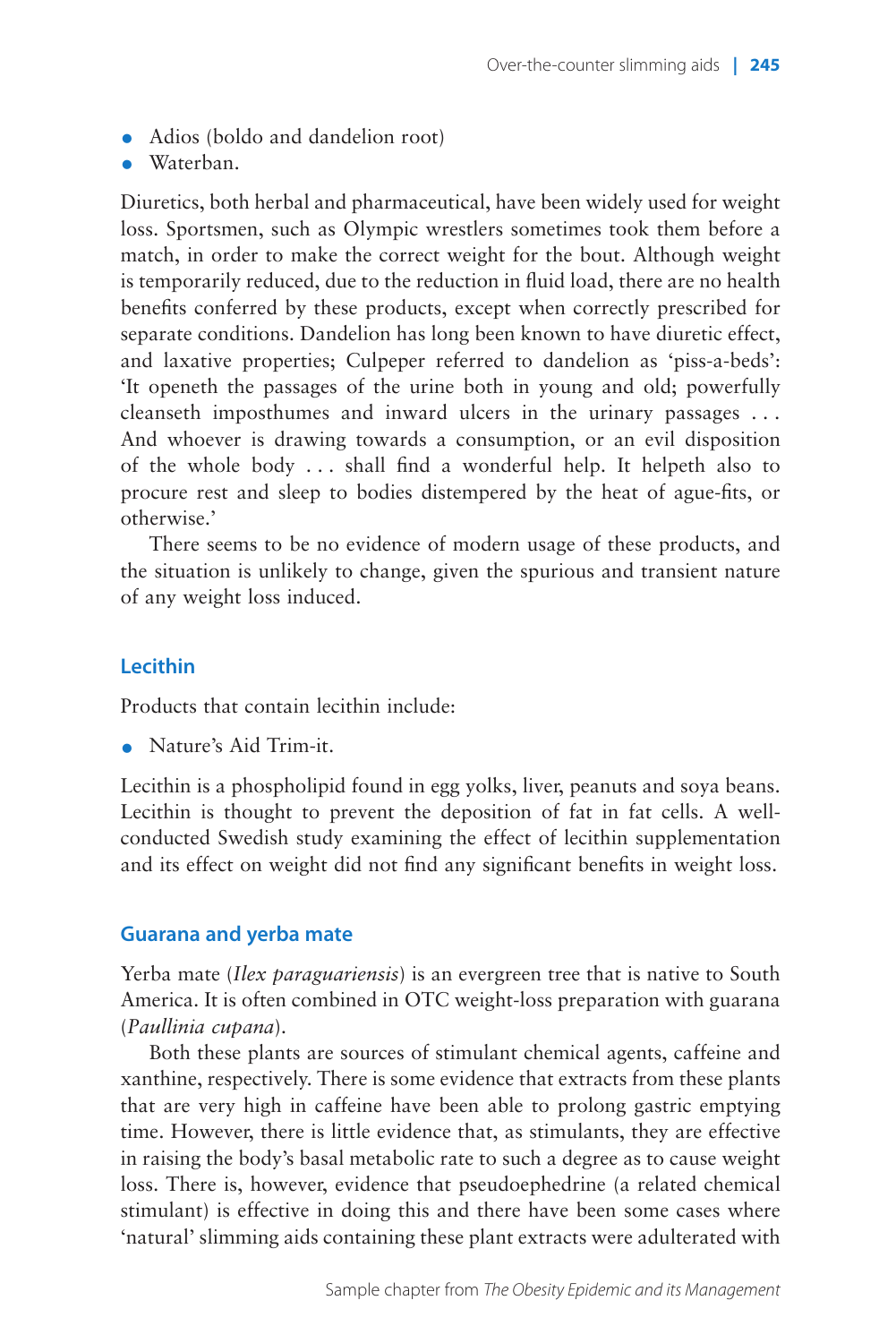- Adios (boldo and dandelion root)
- Waterban.

Diuretics, both herbal and pharmaceutical, have been widely used for weight loss. Sportsmen, such as Olympic wrestlers sometimes took them before a match, in order to make the correct weight for the bout. Although weight is temporarily reduced, due to the reduction in fluid load, there are no health benefits conferred by these products, except when correctly prescribed for separate conditions. Dandelion has long been known to have diuretic effect, and laxative properties; Culpeper referred to dandelion as 'piss-a-beds': 'It openeth the passages of the urine both in young and old; powerfully cleanseth imposthumes and inward ulcers in the urinary passages . . . And whoever is drawing towards a consumption, or an evil disposition of the whole body . . . shall find a wonderful help. It helpeth also to procure rest and sleep to bodies distempered by the heat of ague-fits, or otherwise.'

There seems to be no evidence of modern usage of these products, and the situation is unlikely to change, given the spurious and transient nature of any weight loss induced.

#### **Lecithin**

Products that contain lecithin include:

• Nature's Aid Trim-it.

Lecithin is a phospholipid found in egg yolks, liver, peanuts and soya beans. Lecithin is thought to prevent the deposition of fat in fat cells. A wellconducted Swedish study examining the effect of lecithin supplementation and its effect on weight did not find any significant benefits in weight loss.

### **Guarana and yerba mate**

Yerba mate (*Ilex paraguariensis*) is an evergreen tree that is native to South America. It is often combined in OTC weight-loss preparation with guarana (*Paullinia cupana*).

Both these plants are sources of stimulant chemical agents, caffeine and xanthine, respectively. There is some evidence that extracts from these plants that are very high in caffeine have been able to prolong gastric emptying time. However, there is little evidence that, as stimulants, they are effective in raising the body's basal metabolic rate to such a degree as to cause weight loss. There is, however, evidence that pseudoephedrine (a related chemical stimulant) is effective in doing this and there have been some cases where 'natural' slimming aids containing these plant extracts were adulterated with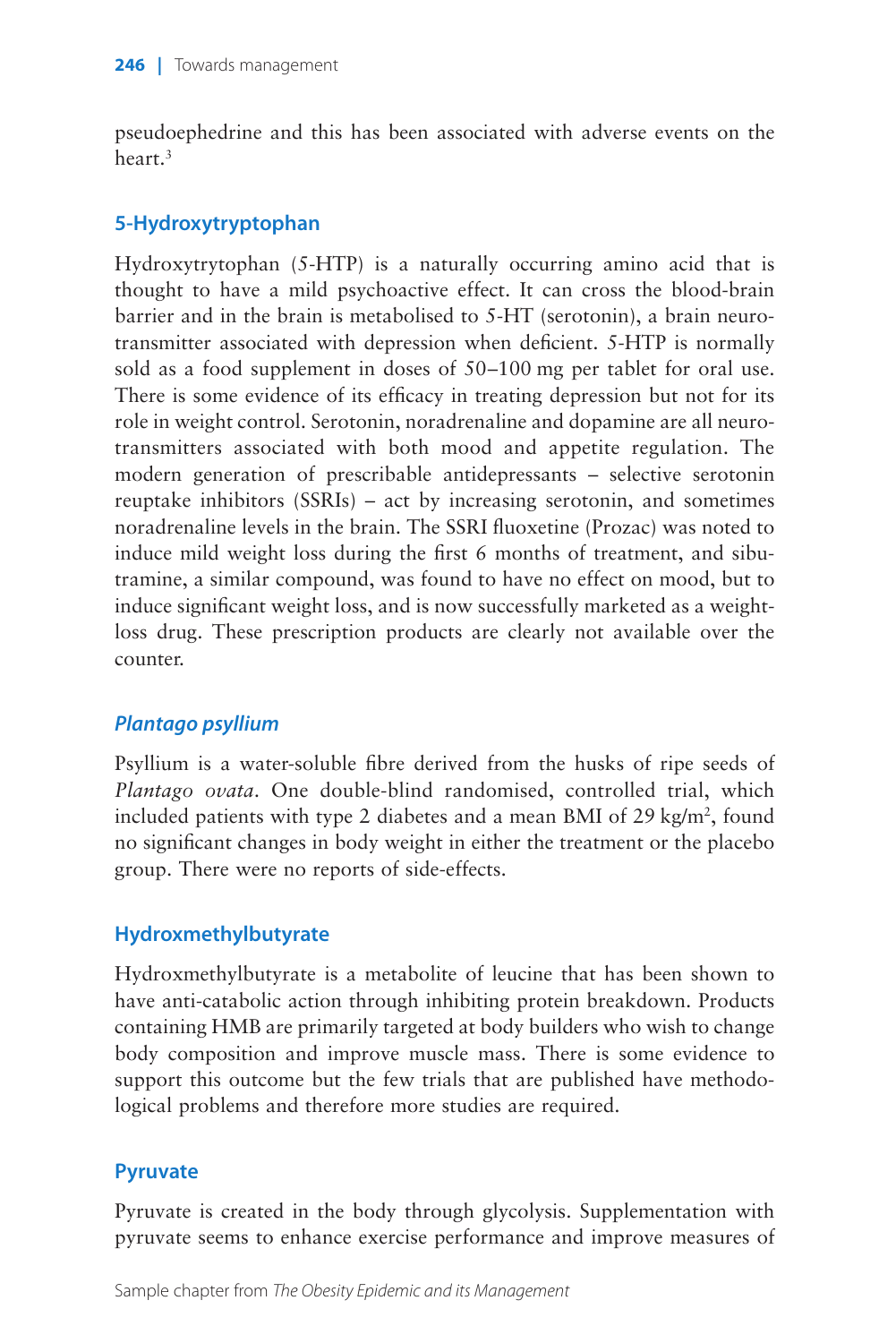pseudoephedrine and this has been associated with adverse events on the heart.3

# **5-Hydroxytryptophan**

Hydroxytrytophan (5-HTP) is a naturally occurring amino acid that is thought to have a mild psychoactive effect. It can cross the blood-brain barrier and in the brain is metabolised to 5-HT (serotonin), a brain neurotransmitter associated with depression when deficient. 5-HTP is normally sold as a food supplement in doses of 50–100 mg per tablet for oral use. There is some evidence of its efficacy in treating depression but not for its role in weight control. Serotonin, noradrenaline and dopamine are all neurotransmitters associated with both mood and appetite regulation. The modern generation of prescribable antidepressants – selective serotonin reuptake inhibitors (SSRIs) – act by increasing serotonin, and sometimes noradrenaline levels in the brain. The SSRI fluoxetine (Prozac) was noted to induce mild weight loss during the first 6 months of treatment, and sibutramine, a similar compound, was found to have no effect on mood, but to induce significant weight loss, and is now successfully marketed as a weightloss drug. These prescription products are clearly not available over the counter.

# **Plantago psyllium**

Psyllium is a water-soluble fibre derived from the husks of ripe seeds of *Plantago ovata*. One double-blind randomised, controlled trial, which included patients with type 2 diabetes and a mean BMI of 29 kg/m2, found no significant changes in body weight in either the treatment or the placebo group. There were no reports of side-effects.

### **Hydroxmethylbutyrate**

Hydroxmethylbutyrate is a metabolite of leucine that has been shown to have anti-catabolic action through inhibiting protein breakdown. Products containing HMB are primarily targeted at body builders who wish to change body composition and improve muscle mass. There is some evidence to support this outcome but the few trials that are published have methodological problems and therefore more studies are required.

### **Pyruvate**

Pyruvate is created in the body through glycolysis. Supplementation with pyruvate seems to enhance exercise performance and improve measures of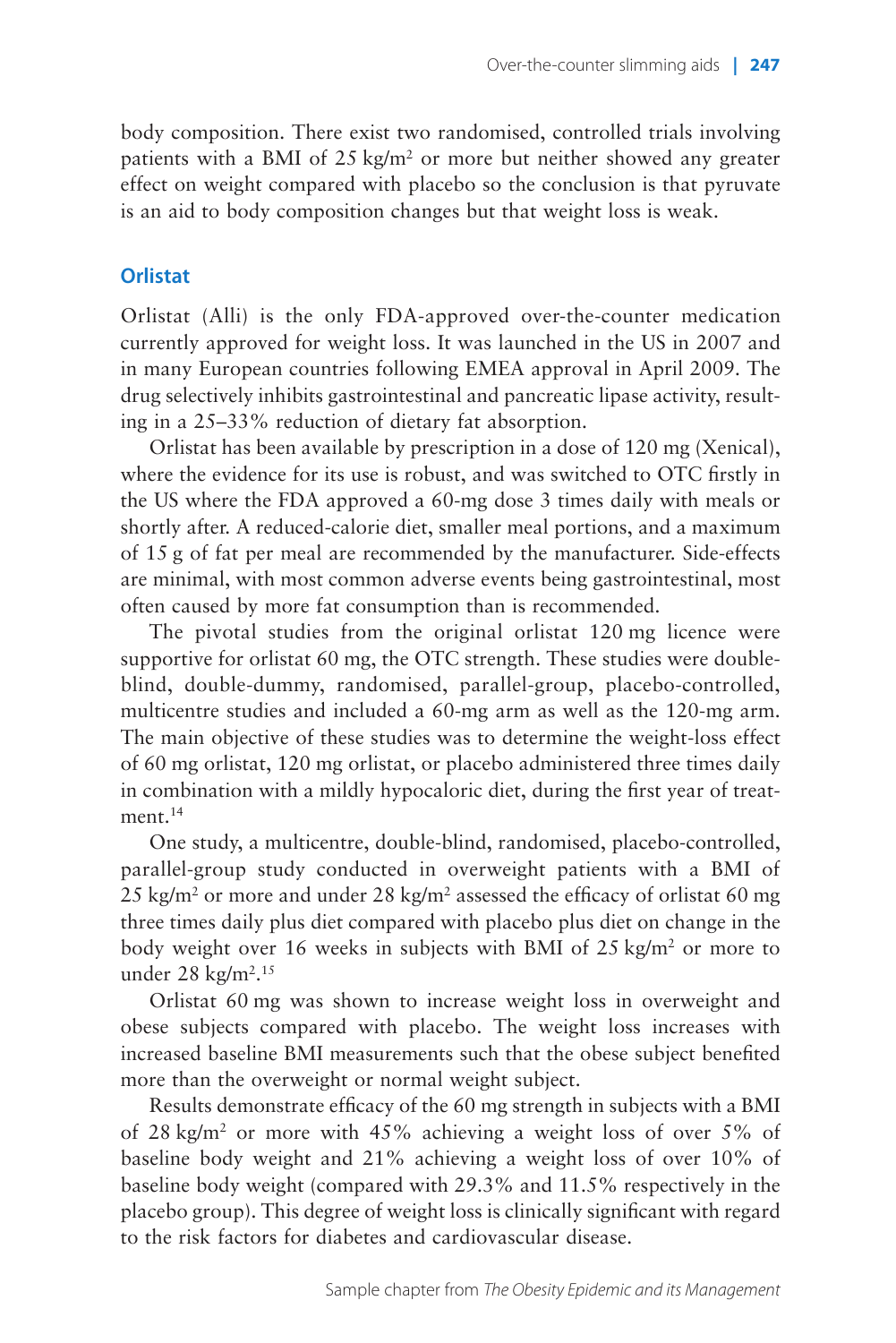body composition. There exist two randomised, controlled trials involving patients with a BMI of 25 kg/m2 or more but neither showed any greater effect on weight compared with placebo so the conclusion is that pyruvate is an aid to body composition changes but that weight loss is weak.

#### **Orlistat**

Orlistat (Alli) is the only FDA-approved over-the-counter medication currently approved for weight loss. It was launched in the US in 2007 and in many European countries following EMEA approval in April 2009. The drug selectively inhibits gastrointestinal and pancreatic lipase activity, resulting in a 25–33% reduction of dietary fat absorption.

Orlistat has been available by prescription in a dose of 120 mg (Xenical), where the evidence for its use is robust, and was switched to OTC firstly in the US where the FDA approved a 60-mg dose 3 times daily with meals or shortly after. A reduced-calorie diet, smaller meal portions, and a maximum of 15 g of fat per meal are recommended by the manufacturer. Side-effects are minimal, with most common adverse events being gastrointestinal, most often caused by more fat consumption than is recommended.

The pivotal studies from the original orlistat 120 mg licence were supportive for orlistat 60 mg, the OTC strength. These studies were doubleblind, double-dummy, randomised, parallel-group, placebo-controlled, multicentre studies and included a 60-mg arm as well as the 120-mg arm. The main objective of these studies was to determine the weight-loss effect of 60 mg orlistat, 120 mg orlistat, or placebo administered three times daily in combination with a mildly hypocaloric diet, during the first year of treatment.<sup>14</sup>

One study, a multicentre, double-blind, randomised, placebo-controlled, parallel-group study conducted in overweight patients with a BMI of  $25 \text{ kg/m}^2$  or more and under  $28 \text{ kg/m}^2$  assessed the efficacy of orlistat 60 mg three times daily plus diet compared with placebo plus diet on change in the body weight over 16 weeks in subjects with BMI of 25 kg/m<sup>2</sup> or more to under 28 kg/m2. 15

Orlistat 60 mg was shown to increase weight loss in overweight and obese subjects compared with placebo. The weight loss increases with increased baseline BMI measurements such that the obese subject benefited more than the overweight or normal weight subject.

Results demonstrate efficacy of the 60 mg strength in subjects with a BMI of 28 kg/m2 or more with 45% achieving a weight loss of over 5% of baseline body weight and 21% achieving a weight loss of over 10% of baseline body weight (compared with 29.3% and 11.5% respectively in the placebo group). This degree of weight loss is clinically significant with regard to the risk factors for diabetes and cardiovascular disease.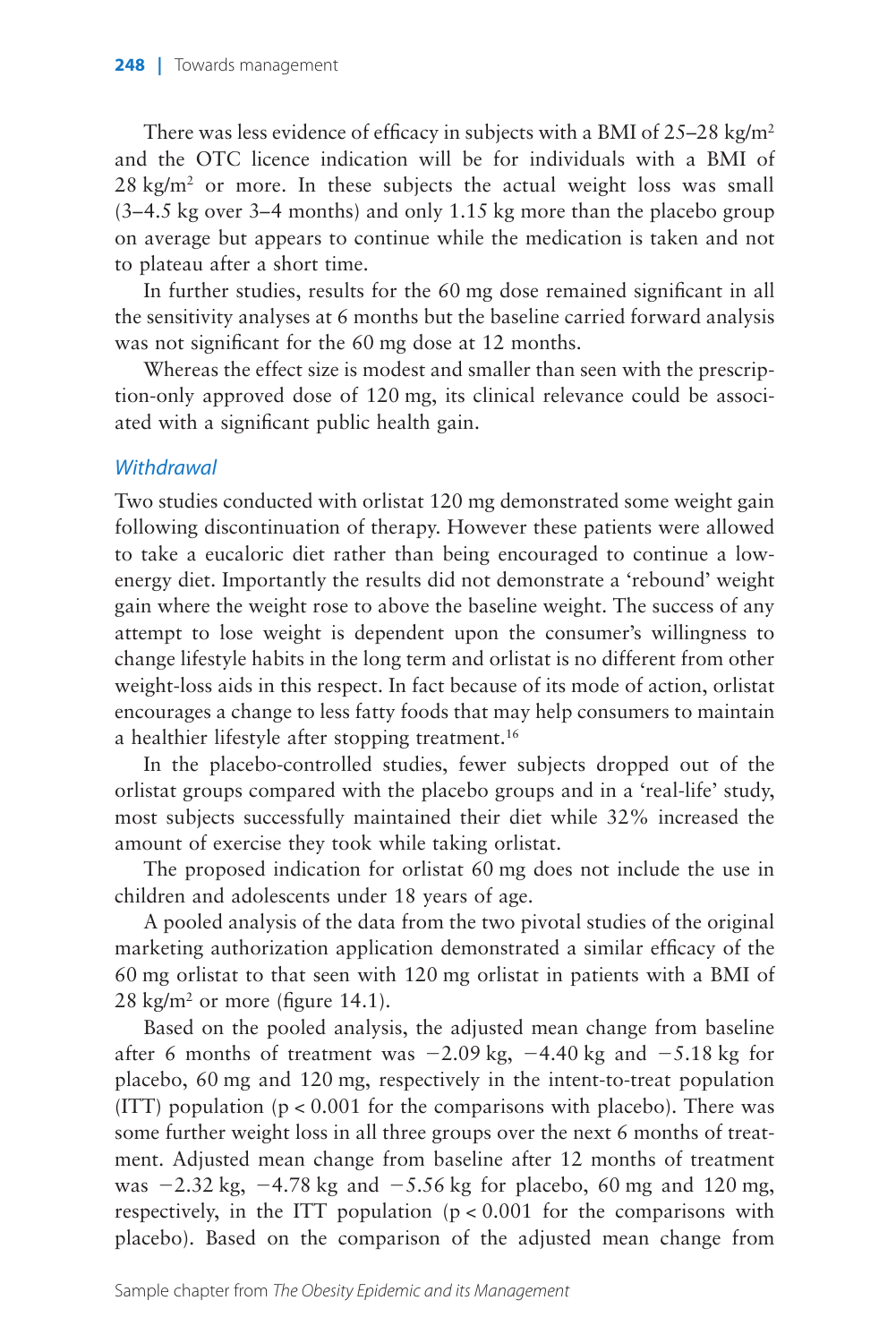There was less evidence of efficacy in subjects with a BMI of 25–28 kg/m<sup>2</sup> and the OTC licence indication will be for individuals with a BMI of  $28 \text{ kg/m}^2$  or more. In these subjects the actual weight loss was small (3–4.5 kg over 3–4 months) and only 1.15 kg more than the placebo group on average but appears to continue while the medication is taken and not to plateau after a short time.

In further studies, results for the 60 mg dose remained significant in all the sensitivity analyses at 6 months but the baseline carried forward analysis was not significant for the 60 mg dose at 12 months.

Whereas the effect size is modest and smaller than seen with the prescription-only approved dose of 120 mg, its clinical relevance could be associated with a significant public health gain.

#### **Withdrawal**

Two studies conducted with orlistat 120 mg demonstrated some weight gain following discontinuation of therapy. However these patients were allowed to take a eucaloric diet rather than being encouraged to continue a lowenergy diet. Importantly the results did not demonstrate a 'rebound' weight gain where the weight rose to above the baseline weight. The success of any attempt to lose weight is dependent upon the consumer's willingness to change lifestyle habits in the long term and orlistat is no different from other weight-loss aids in this respect. In fact because of its mode of action, orlistat encourages a change to less fatty foods that may help consumers to maintain a healthier lifestyle after stopping treatment.16

In the placebo-controlled studies, fewer subjects dropped out of the orlistat groups compared with the placebo groups and in a 'real-life' study, most subjects successfully maintained their diet while 32% increased the amount of exercise they took while taking orlistat.

The proposed indication for orlistat 60 mg does not include the use in children and adolescents under 18 years of age.

A pooled analysis of the data from the two pivotal studies of the original marketing authorization application demonstrated a similar efficacy of the 60 mg orlistat to that seen with 120 mg orlistat in patients with a BMI of  $28 \text{ kg/m}^2$  or more (figure 14.1).

Based on the pooled analysis, the adjusted mean change from baseline after 6 months of treatment was  $-2.09$  kg,  $-4.40$  kg and  $-5.18$  kg for placebo, 60 mg and 120 mg, respectively in the intent-to-treat population (ITT) population ( $p < 0.001$  for the comparisons with placebo). There was some further weight loss in all three groups over the next 6 months of treatment. Adjusted mean change from baseline after 12 months of treatment was  $-2.32$  kg,  $-4.78$  kg and  $-5.56$  kg for placebo, 60 mg and 120 mg, respectively, in the ITT population  $(p < 0.001$  for the comparisons with placebo). Based on the comparison of the adjusted mean change from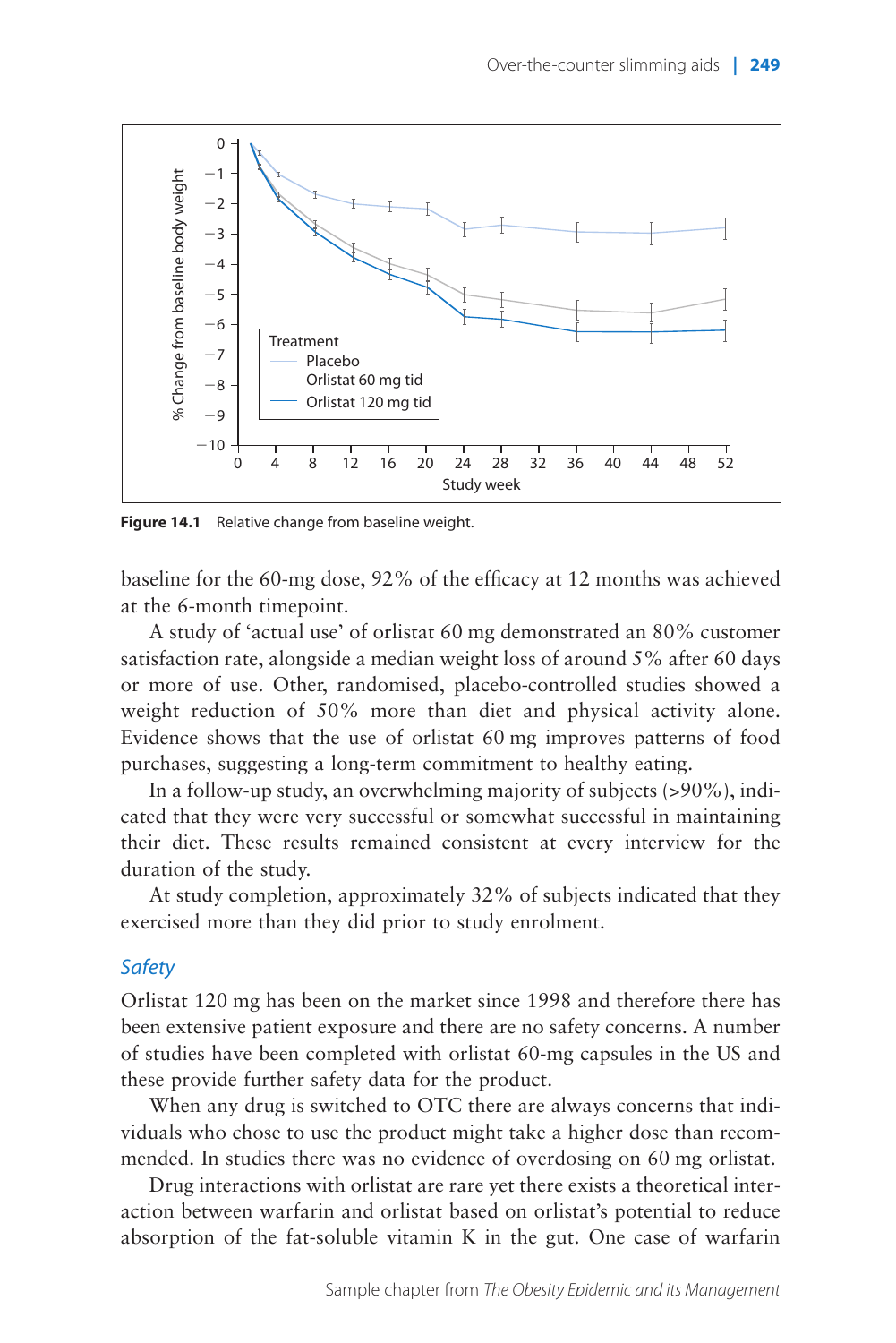

**Figure 14.1** Relative change from baseline weight.

baseline for the 60-mg dose, 92% of the efficacy at 12 months was achieved at the 6-month timepoint.

A study of 'actual use' of orlistat 60 mg demonstrated an 80% customer satisfaction rate, alongside a median weight loss of around 5% after 60 days or more of use. Other, randomised, placebo-controlled studies showed a weight reduction of 50% more than diet and physical activity alone. Evidence shows that the use of orlistat 60 mg improves patterns of food purchases, suggesting a long-term commitment to healthy eating.

In a follow-up study, an overwhelming majority of subjects (>90%), indicated that they were very successful or somewhat successful in maintaining their diet. These results remained consistent at every interview for the duration of the study.

At study completion, approximately 32% of subjects indicated that they exercised more than they did prior to study enrolment.

#### **Safety**

Orlistat 120 mg has been on the market since 1998 and therefore there has been extensive patient exposure and there are no safety concerns. A number of studies have been completed with orlistat 60-mg capsules in the US and these provide further safety data for the product.

When any drug is switched to OTC there are always concerns that individuals who chose to use the product might take a higher dose than recommended. In studies there was no evidence of overdosing on 60 mg orlistat.

Drug interactions with orlistat are rare yet there exists a theoretical interaction between warfarin and orlistat based on orlistat's potential to reduce absorption of the fat-soluble vitamin K in the gut. One case of warfarin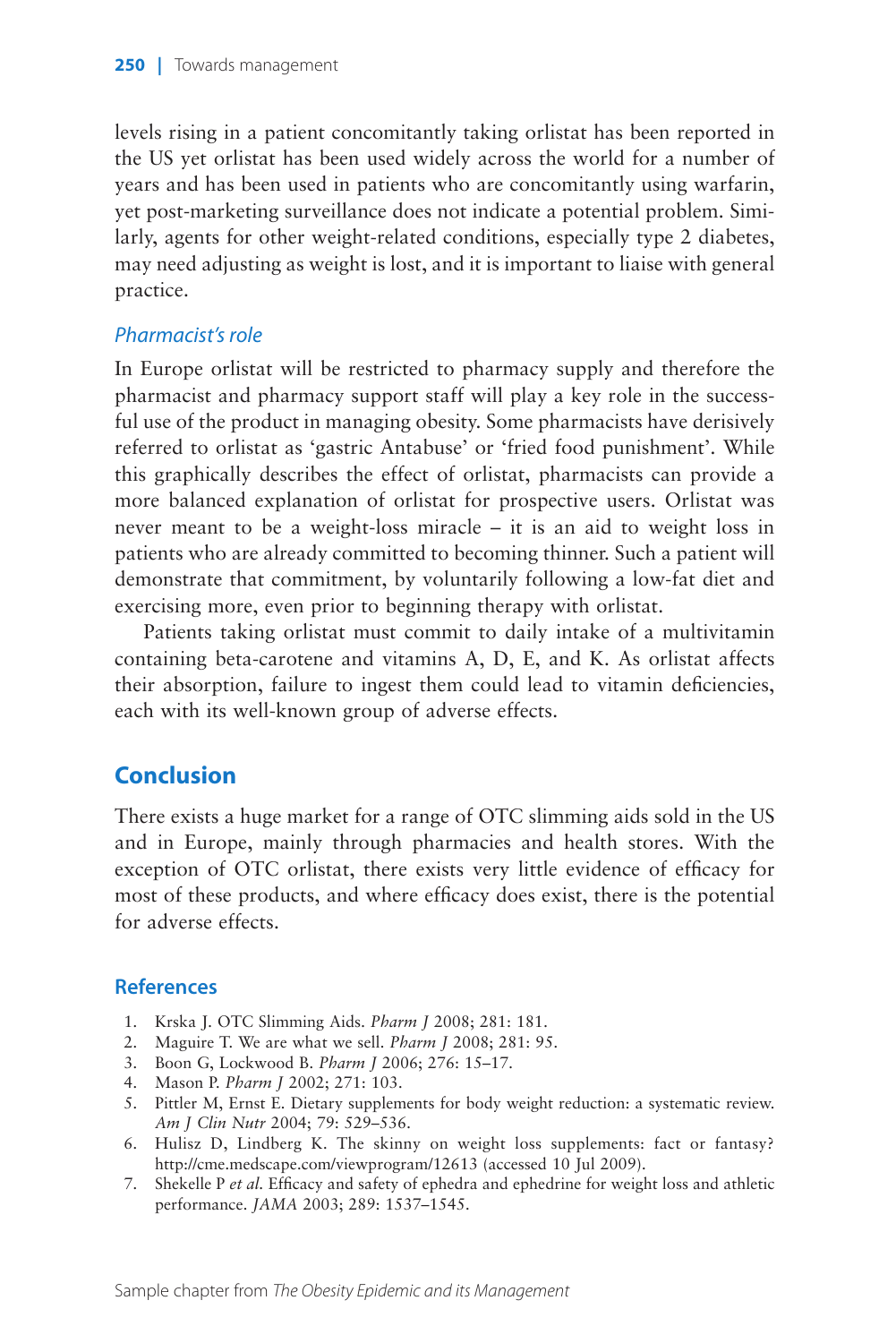levels rising in a patient concomitantly taking orlistat has been reported in the US yet orlistat has been used widely across the world for a number of years and has been used in patients who are concomitantly using warfarin, yet post-marketing surveillance does not indicate a potential problem. Similarly, agents for other weight-related conditions, especially type 2 diabetes, may need adjusting as weight is lost, and it is important to liaise with general practice.

## Pharmacist's role

In Europe orlistat will be restricted to pharmacy supply and therefore the pharmacist and pharmacy support staff will play a key role in the successful use of the product in managing obesity. Some pharmacists have derisively referred to orlistat as 'gastric Antabuse' or 'fried food punishment'. While this graphically describes the effect of orlistat, pharmacists can provide a more balanced explanation of orlistat for prospective users. Orlistat was never meant to be a weight-loss miracle – it is an aid to weight loss in patients who are already committed to becoming thinner. Such a patient will demonstrate that commitment, by voluntarily following a low-fat diet and exercising more, even prior to beginning therapy with orlistat.

Patients taking orlistat must commit to daily intake of a multivitamin containing beta-carotene and vitamins A, D, E, and K. As orlistat affects their absorption, failure to ingest them could lead to vitamin deficiencies, each with its well-known group of adverse effects.

# **Conclusion**

There exists a huge market for a range of OTC slimming aids sold in the US and in Europe, mainly through pharmacies and health stores. With the exception of OTC orlistat, there exists very little evidence of efficacy for most of these products, and where efficacy does exist, there is the potential for adverse effects.

# **References**

- 1. Krska J. OTC Slimming Aids. *Pharm J* 2008; 281: 181.
- 2. Maguire T. We are what we sell. *Pharm J* 2008; 281: 95.
- 3. Boon G, Lockwood B. *Pharm J* 2006; 276: 15–17.
- 4. Mason P. *Pharm J* 2002; 271: 103.
- 5. Pittler M, Ernst E. Dietary supplements for body weight reduction: a systematic review. *Am J Clin Nutr* 2004; 79: 529–536.
- 6. Hulisz D, Lindberg K. The skinny on weight loss supplements: fact or fantasy? http://cme.medscape.com/viewprogram/12613 (accessed 10 Jul 2009).
- 7. Shekelle P *et al.* Efficacy and safety of ephedra and ephedrine for weight loss and athletic performance. *JAMA* 2003; 289: 1537–1545.